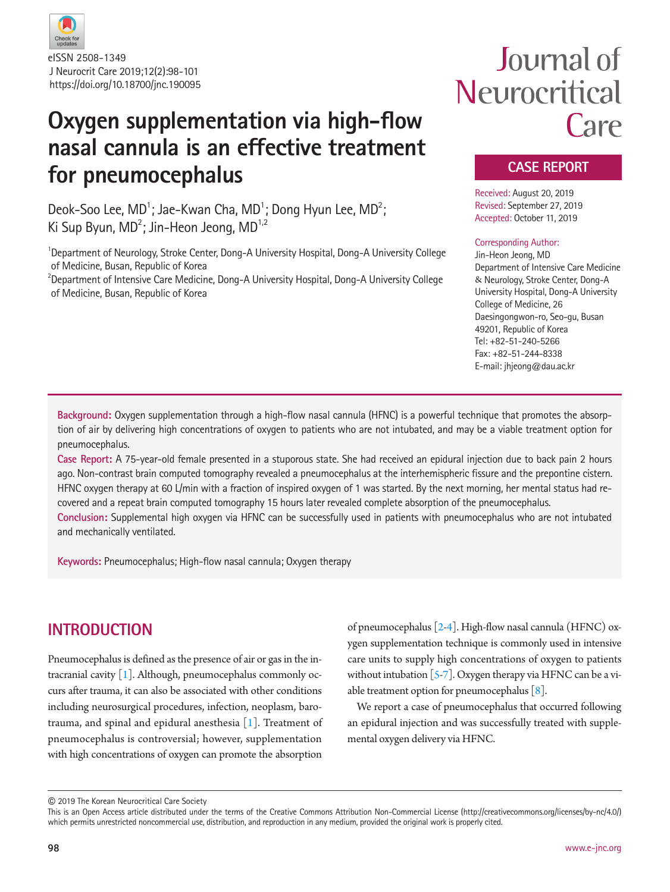

J Neurocrit Care 2019;12(2):98-101 https://doi.org/10.18700/jnc.190095 eISSN 2508-1349

# **Oxygen supplementation via high-flow nasal cannula is an effective treatment for pneumocephalus**

Deok-Soo Lee, MD<sup>1</sup>; Jae-Kwan Cha, MD<sup>1</sup>; Dong Hyun Lee, MD<sup>2</sup>; Ki Sup Byun, MD<sup>2</sup>; Jin-Heon Jeong, MD<sup>1,2</sup>

<sup>1</sup>Department of Neurology, Stroke Center, Dong-A University Hospital, Dong-A University College of Medicine, Busan, Republic of Korea

<sup>2</sup>Department of Intensive Care Medicine, Dong-A University Hospital, Dong-A University College of Medicine, Busan, Republic of Korea

# Journal of Neurocritical Care

### **CASE REPORT**

Received: August 20, 2019 Revised: September 27, 2019 Accepted: October 11, 2019

#### Corresponding Author:

Jin-Heon Jeong, MD Department of Intensive Care Medicine & Neurology, Stroke Center, Dong-A University Hospital, Dong-A University College of Medicine, 26 Daesingongwon-ro, Seo-gu, Busan 49201, Republic of Korea Tel: +82-51-240-5266 Fax: +82-51-244-8338 E-mail: jhjeong@dau.ac.kr

**Background:** Oxygen supplementation through a high-flow nasal cannula (HFNC) is a powerful technique that promotes the absorption of air by delivering high concentrations of oxygen to patients who are not intubated, and may be a viable treatment option for pneumocephalus.

**Case Report:** A 75-year-old female presented in a stuporous state. She had received an epidural injection due to back pain 2 hours ago. Non-contrast brain computed tomography revealed a pneumocephalus at the interhemispheric fissure and the prepontine cistern. HFNC oxygen therapy at 60 L/min with a fraction of inspired oxygen of 1 was started. By the next morning, her mental status had recovered and a repeat brain computed tomography 15 hours later revealed complete absorption of the pneumocephalus.

**Conclusion:** Supplemental high oxygen via HFNC can be successfully used in patients with pneumocephalus who are not intubated and mechanically ventilated.

**Keywords:** Pneumocephalus; High-flow nasal cannula; Oxygen therapy

# **INTRODUCTION**

Pneumocephalus is defined as the presence of air or gas in the intracranial cavity [\[1\]](#page-3-0). Although, pneumocephalus commonly occurs after trauma, it can also be associated with other conditions including neurosurgical procedures, infection, neoplasm, barotrauma, and spinal and epidural anesthesia [\[1](#page-3-0)]. Treatment of pneumocephalus is controversial; however, supplementation with high concentrations of oxygen can promote the absorption

of pneumocephalus [\[2](#page-3-1)[-4](#page-3-2)]. High-flow nasal cannula (HFNC) oxygen supplementation technique is commonly used in intensive care units to supply high concentrations of oxygen to patients without intubation  $[5-7]$  $[5-7]$ . Oxygen therapy via HFNC can be a viable treatment option for pneumocephalus  $[8]$  $[8]$ .

We report a case of pneumocephalus that occurred following an epidural injection and was successfully treated with supplemental oxygen delivery via HFNC.

© 2019 The Korean Neurocritical Care Society

This is an Open Access article distributed under the terms of the Creative Commons Attribution Non-Commercial License (http://creativecommons.org/licenses/by-nc/4.0/) which permits unrestricted noncommercial use, distribution, and reproduction in any medium, provided the original work is properly cited.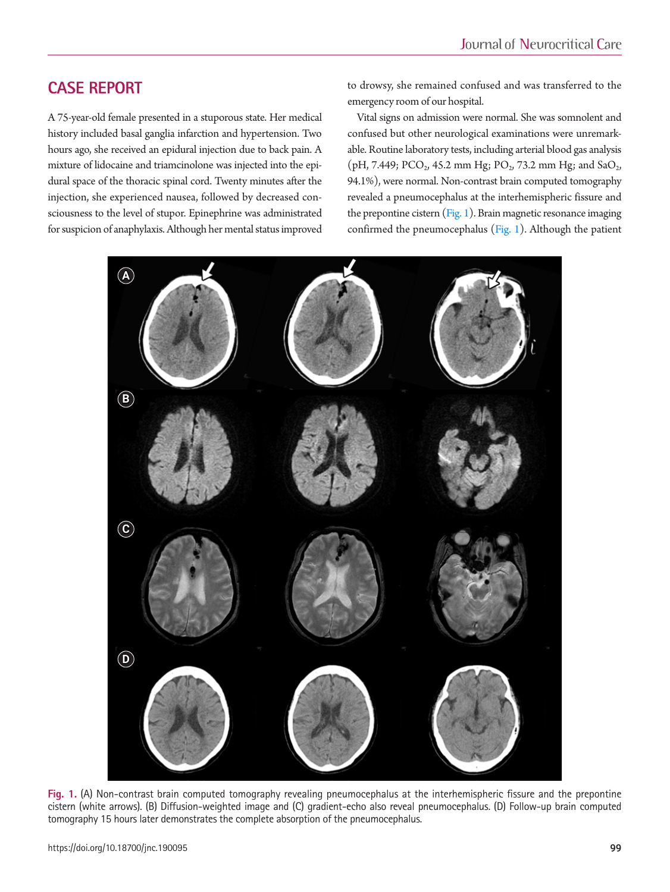# **CASE REPORT**

A 75-year-old female presented in a stuporous state. Her medical history included basal ganglia infarction and hypertension. Two hours ago, she received an epidural injection due to back pain. A mixture of lidocaine and triamcinolone was injected into the epidural space of the thoracic spinal cord. Twenty minutes after the injection, she experienced nausea, followed by decreased consciousness to the level of stupor. Epinephrine was administrated for suspicion of anaphylaxis. Although her mental status improved

to drowsy, she remained confused and was transferred to the emergency room of our hospital.

Vital signs on admission were normal. She was somnolent and confused but other neurological examinations were unremarkable. Routine laboratory tests, including arterial blood gas analysis  $(pH, 7.449; PCO<sub>2</sub>, 45.2 mm Hg; PO<sub>2</sub>, 73.2 mm Hg; and SaO<sub>2</sub>,$ 94.1%), were normal. Non-contrast brain computed tomography revealed a pneumocephalus at the interhemispheric fissure and the prepontine cistern  $(Fig, 1)$ . Brain magnetic resonance imaging confirmed the pneumocephalus [\(Fig. 1](#page-1-0)). Although the patient

<span id="page-1-0"></span>

**Fig. 1.** (A) Non-contrast brain computed tomography revealing pneumocephalus at the interhemispheric fissure and the prepontine cistern (white arrows). (B) Diffusion-weighted image and (C) gradient-echo also reveal pneumocephalus. (D) Follow-up brain computed tomography 15 hours later demonstrates the complete absorption of the pneumocephalus.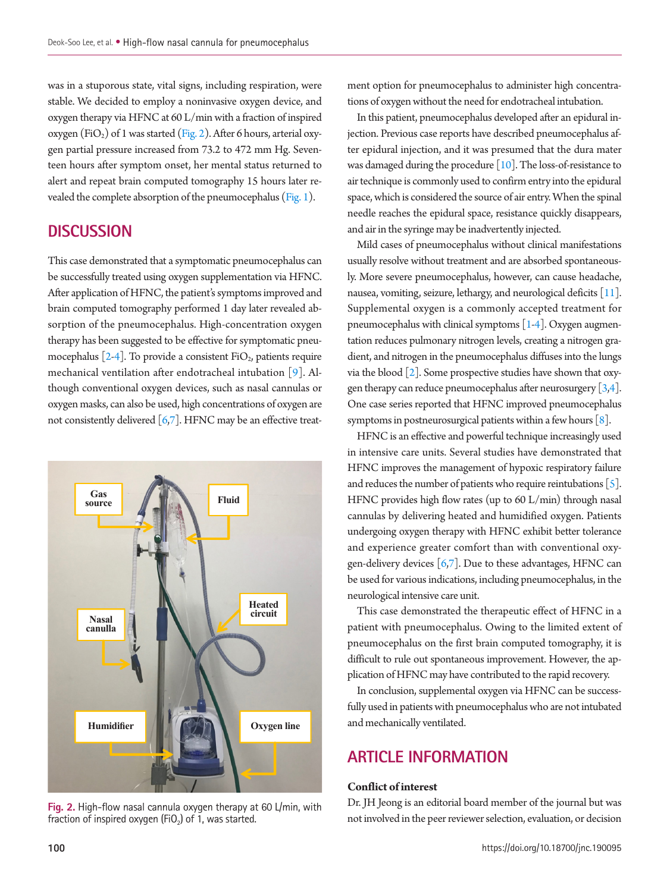was in a stuporous state, vital signs, including respiration, were stable. We decided to employ a noninvasive oxygen device, and oxygen therapy via HFNC at 60 L/min with a fraction of inspired oxygen (FiO<sub>2</sub>) of 1 was started [\(Fig. 2\)](#page-2-0). After 6 hours, arterial oxygen partial pressure increased from 73.2 to 472 mm Hg. Seventeen hours after symptom onset, her mental status returned to alert and repeat brain computed tomography 15 hours later revealed the complete absorption of the pneumocephalus [\(Fig. 1](#page-1-0)).

#### **DISCUSSION**

This case demonstrated that a symptomatic pneumocephalus can be successfully treated using oxygen supplementation via HFNC. After application of HFNC, the patient's symptoms improved and brain computed tomography performed 1 day later revealed absorption of the pneumocephalus. High-concentration oxygen therapy has been suggested to be effective for symptomatic pneumocephalus  $[2-4]$ . To provide a consistent FiO<sub>2</sub>, patients require mechanical ventilation after endotracheal intubation [\[9](#page-3-6)]. Although conventional oxygen devices, such as nasal cannulas or oxygen masks, can also be used, high concentrations of oxygen are not consistently delivered  $[6,7]$ . HFNC may be an effective treat-

<span id="page-2-0"></span>

**Fig. 2.** High-flow nasal cannula oxygen therapy at 60 L/min, with fraction of inspired oxygen (FiO<sub>2</sub>) of 1, was started.

ment option for pneumocephalus to administer high concentrations of oxygen without the need for endotracheal intubation.

In this patient, pneumocephalus developed after an epidural injection. Previous case reports have described pneumocephalus after epidural injection, and it was presumed that the dura mater was damaged during the procedure [\[10](#page-3-8)]. The loss-of-resistance to air technique is commonly used to confirm entry into the epidural space, which is considered the source of air entry. When the spinal needle reaches the epidural space, resistance quickly disappears, and air in the syringe may be inadvertently injected.

Mild cases of pneumocephalus without clinical manifestations usually resolve without treatment and are absorbed spontaneously. More severe pneumocephalus, however, can cause headache, nausea, vomiting, seizure, lethargy, and neurological deficits [\[11\]](#page-3-9). Supplemental oxygen is a commonly accepted treatment for pneumocephalus with clinical symptoms  $[1-4]$ . Oxygen augmentation reduces pulmonary nitrogen levels, creating a nitrogen gradient, and nitrogen in the pneumocephalus diffuses into the lungs via the blood [2]. Some prospective studies have shown that oxygen therapy can reduce pneumocephalus after neurosurgery  $[3,4]$  $[3,4]$ . One case series reported that HFNC improved pneumocephalus symptoms in postneurosurgical patients within a few hours [8].

HFNC is an effective and powerful technique increasingly used in intensive care units. Several studies have demonstrated that HFNC improves the management of hypoxic respiratory failure and reduces the number of patients who require reintubations  $[5]$ . HFNC provides high flow rates (up to 60 L/min) through nasal cannulas by delivering heated and humidified oxygen. Patients undergoing oxygen therapy with HFNC exhibit better tolerance and experience greater comfort than with conventional oxygen-delivery devices  $[6,7]$ . Due to these advantages, HFNC can be used for various indications, including pneumocephalus, in the neurological intensive care unit.

<span id="page-2-1"></span>This case demonstrated the therapeutic effect of HFNC in a patient with pneumocephalus. Owing to the limited extent of pneumocephalus on the first brain computed tomography, it is difficult to rule out spontaneous improvement. However, the application of HFNC may have contributed to the rapid recovery.

In conclusion, supplemental oxygen via HFNC can be successfully used in patients with pneumocephalus who are not intubated and mechanically ventilated.

## **ARTICLE INFORMATION**

#### **Conflict of interest**

Dr. JH Jeong is an editorial board member of the journal but was not involved in the peer reviewer selection, evaluation, or decision